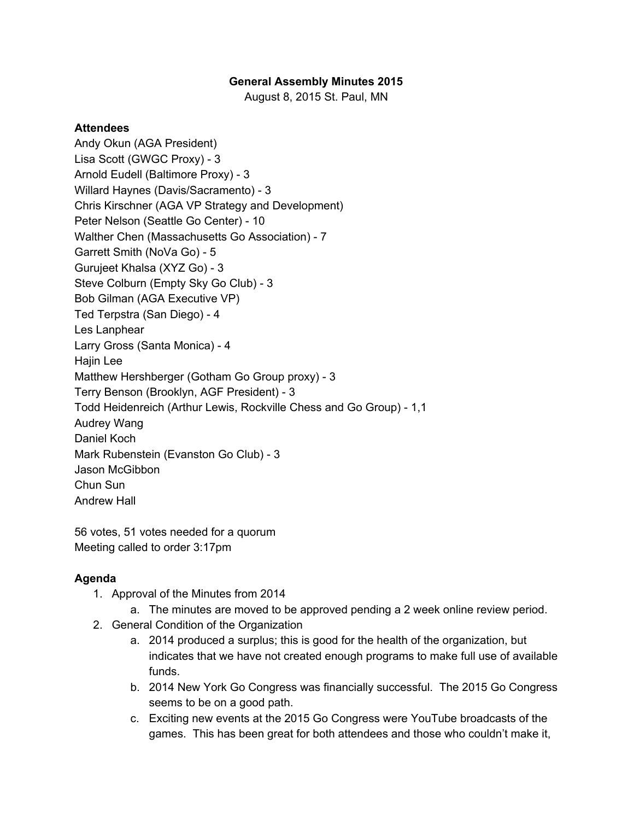## **General Assembly Minutes 2015**

August 8, 2015 St. Paul, MN

## **Attendees**

Andy Okun (AGA President) Lisa Scott (GWGC Proxy) - 3 Arnold Eudell (Baltimore Proxy) - 3 Willard Haynes (Davis/Sacramento) - 3 Chris Kirschner (AGA VP Strategy and Development) Peter Nelson (Seattle Go Center) - 10 Walther Chen (Massachusetts Go Association) - 7 Garrett Smith (NoVa Go) - 5 Gurujeet Khalsa (XYZ Go) - 3 Steve Colburn (Empty Sky Go Club) - 3 Bob Gilman (AGA Executive VP) Ted Terpstra (San Diego) - 4 Les Lanphear Larry Gross (Santa Monica) - 4 Hajin Lee Matthew Hershberger (Gotham Go Group proxy) - 3 Terry Benson (Brooklyn, AGF President) - 3 Todd Heidenreich (Arthur Lewis, Rockville Chess and Go Group) - 1,1 Audrey Wang Daniel Koch Mark Rubenstein (Evanston Go Club) - 3 Jason McGibbon Chun Sun Andrew Hall

56 votes, 51 votes needed for a quorum Meeting called to order 3:17pm

## **Agenda**

- 1. Approval of the Minutes from 2014
	- a. The minutes are moved to be approved pending a 2 week online review period.
- 2. General Condition of the Organization
	- a. 2014 produced a surplus; this is good for the health of the organization, but indicates that we have not created enough programs to make full use of available funds.
	- b. 2014 New York Go Congress was financially successful. The 2015 Go Congress seems to be on a good path.
	- c. Exciting new events at the 2015 Go Congress were YouTube broadcasts of the games. This has been great for both attendees and those who couldn't make it,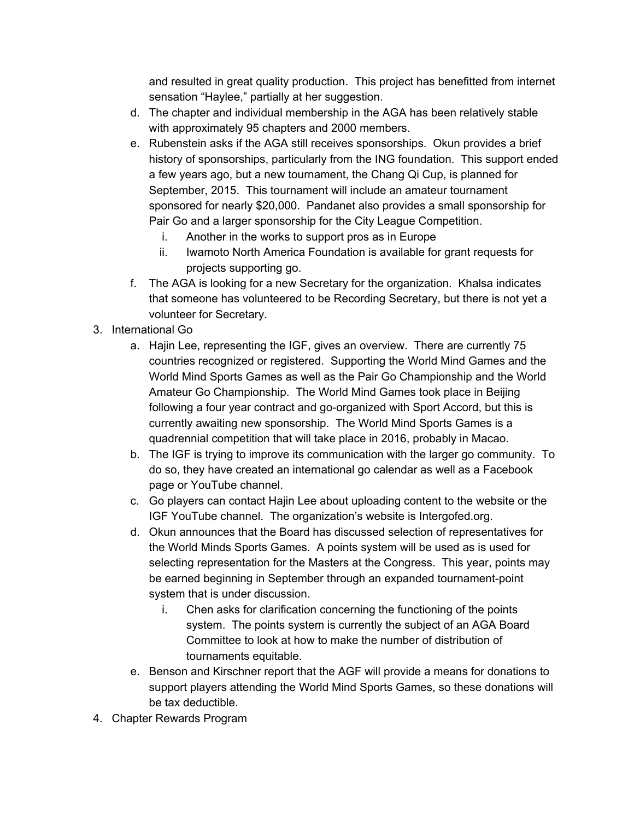and resulted in great quality production. This project has benefitted from internet sensation "Haylee," partially at her suggestion.

- d. The chapter and individual membership in the AGA has been relatively stable with approximately 95 chapters and 2000 members.
- e. Rubenstein asks if the AGA still receives sponsorships. Okun provides a brief history of sponsorships, particularly from the ING foundation. This support ended a few years ago, but a new tournament, the Chang Qi Cup, is planned for September, 2015. This tournament will include an amateur tournament sponsored for nearly \$20,000. Pandanet also provides a small sponsorship for Pair Go and a larger sponsorship for the City League Competition.
	- i. Another in the works to support pros as in Europe
	- ii. Iwamoto North America Foundation is available for grant requests for projects supporting go.
- f. The AGA is looking for a new Secretary for the organization. Khalsa indicates that someone has volunteered to be Recording Secretary, but there is not yet a volunteer for Secretary.
- 3. International Go
	- a. Hajin Lee, representing the IGF, gives an overview. There are currently 75 countries recognized or registered. Supporting the World Mind Games and the World Mind Sports Games as well as the Pair Go Championship and the World Amateur Go Championship. The World Mind Games took place in Beijing following a four year contract and go-organized with Sport Accord, but this is currently awaiting new sponsorship. The World Mind Sports Games is a quadrennial competition that will take place in 2016, probably in Macao.
	- b. The IGF is trying to improve its communication with the larger go community. To do so, they have created an international go calendar as well as a Facebook page or YouTube channel.
	- c. Go players can contact Hajin Lee about uploading content to the website or the IGF YouTube channel. The organization's website is Intergofed.org.
	- d. Okun announces that the Board has discussed selection of representatives for the World Minds Sports Games. A points system will be used as is used for selecting representation for the Masters at the Congress. This year, points may be earned beginning in September through an expanded tournament-point system that is under discussion.
		- i. Chen asks for clarification concerning the functioning of the points system. The points system is currently the subject of an AGA Board Committee to look at how to make the number of distribution of tournaments equitable.
	- e. Benson and Kirschner report that the AGF will provide a means for donations to support players attending the World Mind Sports Games, so these donations will be tax deductible.
- 4. Chapter Rewards Program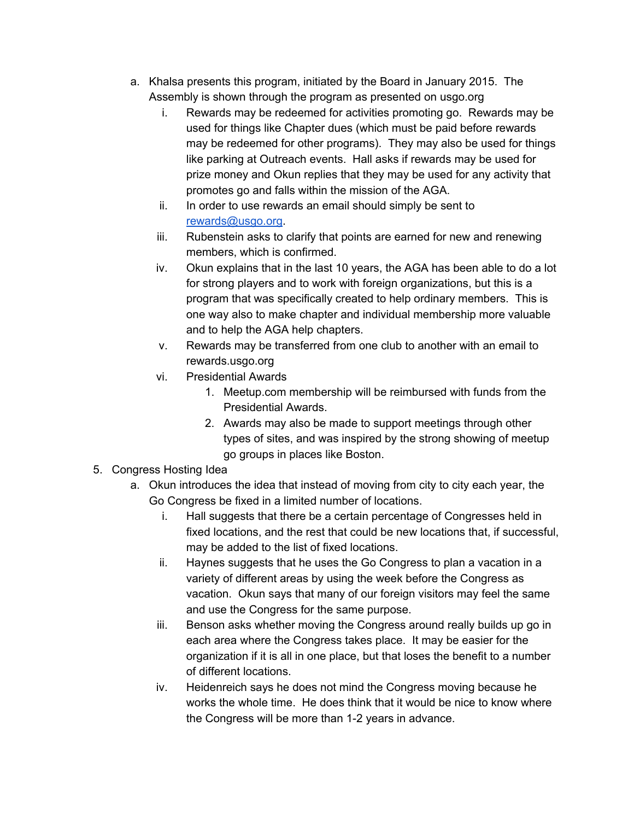- a. Khalsa presents this program, initiated by the Board in January 2015. The Assembly is shown through the program as presented on usgo.org
	- i. Rewards may be redeemed for activities promoting go. Rewards may be used for things like Chapter dues (which must be paid before rewards may be redeemed for other programs). They may also be used for things like parking at Outreach events. Hall asks if rewards may be used for prize money and Okun replies that they may be used for any activity that promotes go and falls within the mission of the AGA.
	- ii. In order to use rewards an email should simply be sent to [rewards@usgo.org](mailto:rewards@usgo.org).
	- iii. Rubenstein asks to clarify that points are earned for new and renewing members, which is confirmed.
	- iv. Okun explains that in the last 10 years, the AGA has been able to do a lot for strong players and to work with foreign organizations, but this is a program that was specifically created to help ordinary members. This is one way also to make chapter and individual membership more valuable and to help the AGA help chapters.
	- v. Rewards may be transferred from one club to another with an email to rewards.usgo.org
	- vi. Presidential Awards
		- 1. Meetup.com membership will be reimbursed with funds from the Presidential Awards.
		- 2. Awards may also be made to support meetings through other types of sites, and was inspired by the strong showing of meetup go groups in places like Boston.
- 5. Congress Hosting Idea
	- a. Okun introduces the idea that instead of moving from city to city each year, the Go Congress be fixed in a limited number of locations.
		- i. Hall suggests that there be a certain percentage of Congresses held in fixed locations, and the rest that could be new locations that, if successful, may be added to the list of fixed locations.
		- ii. Haynes suggests that he uses the Go Congress to plan a vacation in a variety of different areas by using the week before the Congress as vacation. Okun says that many of our foreign visitors may feel the same and use the Congress for the same purpose.
		- iii. Benson asks whether moving the Congress around really builds up go in each area where the Congress takes place. It may be easier for the organization if it is all in one place, but that loses the benefit to a number of different locations.
		- iv. Heidenreich says he does not mind the Congress moving because he works the whole time. He does think that it would be nice to know where the Congress will be more than 1-2 years in advance.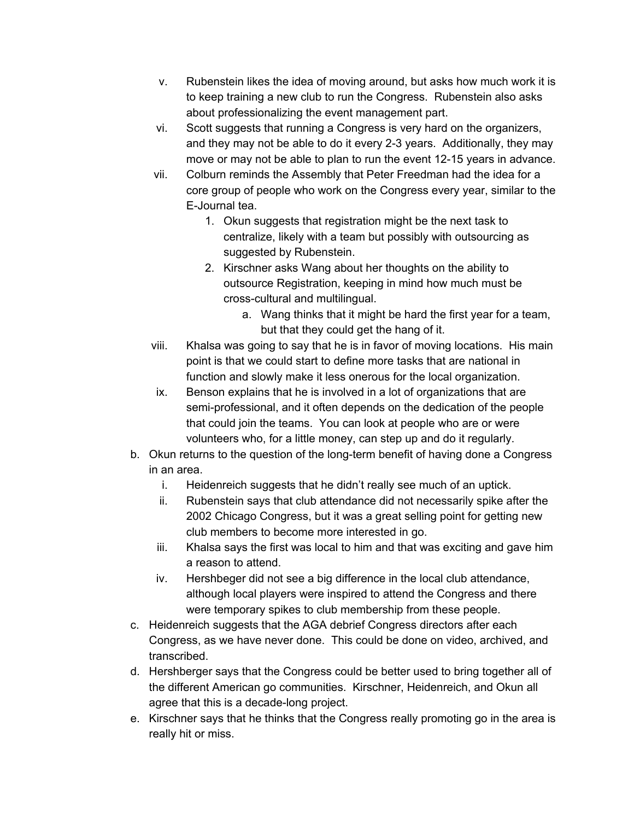- v. Rubenstein likes the idea of moving around, but asks how much work it is to keep training a new club to run the Congress. Rubenstein also asks about professionalizing the event management part.
- vi. Scott suggests that running a Congress is very hard on the organizers, and they may not be able to do it every 2-3 years. Additionally, they may move or may not be able to plan to run the event 12-15 years in advance.
- vii. Colburn reminds the Assembly that Peter Freedman had the idea for a core group of people who work on the Congress every year, similar to the E-Journal tea.
	- 1. Okun suggests that registration might be the next task to centralize, likely with a team but possibly with outsourcing as suggested by Rubenstein.
	- 2. Kirschner asks Wang about her thoughts on the ability to outsource Registration, keeping in mind how much must be cross-cultural and multilingual.
		- a. Wang thinks that it might be hard the first year for a team, but that they could get the hang of it.
- viii. Khalsa was going to say that he is in favor of moving locations. His main point is that we could start to define more tasks that are national in function and slowly make it less onerous for the local organization.
- ix. Benson explains that he is involved in a lot of organizations that are semi-professional, and it often depends on the dedication of the people that could join the teams. You can look at people who are or were volunteers who, for a little money, can step up and do it regularly.
- b. Okun returns to the question of the long-term benefit of having done a Congress in an area.
	- i. Heidenreich suggests that he didn't really see much of an uptick.
	- ii. Rubenstein says that club attendance did not necessarily spike after the 2002 Chicago Congress, but it was a great selling point for getting new club members to become more interested in go.
	- iii. Khalsa says the first was local to him and that was exciting and gave him a reason to attend.
	- iv. Hershbeger did not see a big difference in the local club attendance, although local players were inspired to attend the Congress and there were temporary spikes to club membership from these people.
- c. Heidenreich suggests that the AGA debrief Congress directors after each Congress, as we have never done. This could be done on video, archived, and transcribed.
- d. Hershberger says that the Congress could be better used to bring together all of the different American go communities. Kirschner, Heidenreich, and Okun all agree that this is a decade-long project.
- e. Kirschner says that he thinks that the Congress really promoting go in the area is really hit or miss.